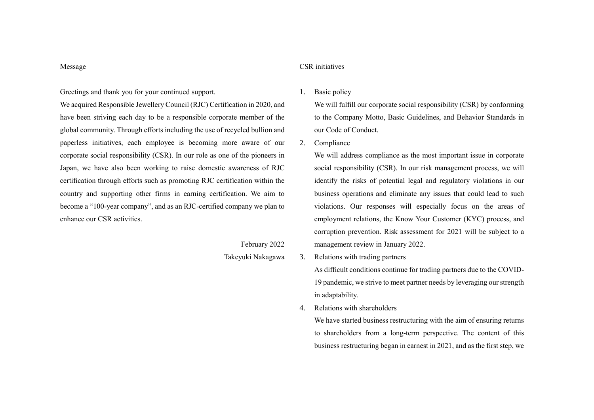#### Message

# Greetings and thank you for your continued support.

We acquired Responsible Jewellery Council (RJC) Certification in 2020, and have been striving each day to be a responsible corporate member of the global community. Through efforts including the use of recycled bullion and paperless initiatives, each employee is becoming more aware of our corporate social responsibility (CSR). In our role as one of the pioneers in Japan, we have also been working to raise domestic awareness of RJC certification through efforts such as promoting RJC certification within the country and supporting other firms in earning certification. We aim to become a "100-year company", and as an RJC-certified company we plan to enhance our CSR activities.

### February 2022

Takeyuki Nakagawa

### CSR initiatives

1. Basic policy

We will fulfill our corporate social responsibility (CSR) by conforming to the Company Motto, Basic Guidelines, and Behavior Standards in our Code of Conduct.

2. Compliance

We will address compliance as the most important issue in corporate social responsibility (CSR). In our risk management process, we will identify the risks of potential legal and regulatory violations in our business operations and eliminate any issues that could lead to such violations. Our responses will especially focus on the areas of employment relations, the Know Your Customer (KYC) process, and corruption prevention. Risk assessment for 2021 will be subject to a management review in January 2022.

3. Relations with trading partners

As difficult conditions continue for trading partners due to the COVID-19 pandemic, we strive to meet partner needs by leveraging our strength in adaptability.

4. Relations with shareholders

We have started business restructuring with the aim of ensuring returns to shareholders from a long-term perspective. The content of this business restructuring began in earnest in 2021, and as the first step, we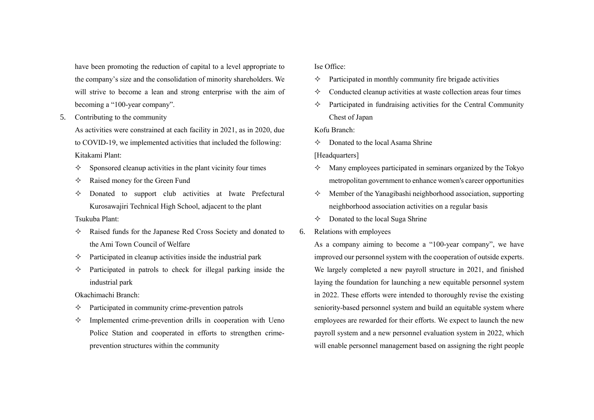have been promoting the reduction of capital to a level appropriate to the company's size and the consolidation of minority shareholders. We will strive to become a lean and strong enterprise with the aim of becoming a "100-year company".

5. Contributing to the community

As activities were constrained at each facility in 2021, as in 2020, due to COVID-19, we implemented activities that included the following: Kitakami Plant:

- $\Diamond$  Sponsored cleanup activities in the plant vicinity four times
- $\Diamond$  Raised money for the Green Fund
- $\Diamond$  Donated to support club activities at Iwate Prefectural Kurosawajiri Technical High School, adjacent to the plant

## Tsukuba Plant:

- $\Diamond$  Raised funds for the Japanese Red Cross Society and donated to the Ami Town Council of Welfare
- $\Diamond$  Participated in cleanup activities inside the industrial park
- $\Diamond$  Participated in patrols to check for illegal parking inside the industrial park

## Okachimachi Branch:

- $\Diamond$  Participated in community crime-prevention patrols
- $\Diamond$  Implemented crime-prevention drills in cooperation with Ueno Police Station and cooperated in efforts to strengthen crimeprevention structures within the community

### Ise Office:

- $\Diamond$  Participated in monthly community fire brigade activities
- $\Diamond$  Conducted cleanup activities at waste collection areas four times
- $\Diamond$  Participated in fundraising activities for the Central Community Chest of Japan

Kofu Branch:

 $\Diamond$  Donated to the local Asama Shrine

[Headquarters]

- $\Diamond$  Many employees participated in seminars organized by the Tokyo metropolitan government to enhance women's career opportunities
- $\Diamond$  Member of the Yanagibashi neighborhood association, supporting neighborhood association activities on a regular basis
- $\Diamond$  Donated to the local Suga Shrine
- 6. Relations with employees

As a company aiming to become a "100-year company", we have improved our personnel system with the cooperation of outside experts. We largely completed a new payroll structure in 2021, and finished laying the foundation for launching a new equitable personnel system in 2022. These efforts were intended to thoroughly revise the existing seniority-based personnel system and build an equitable system where employees are rewarded for their efforts. We expect to launch the new payroll system and a new personnel evaluation system in 2022, which will enable personnel management based on assigning the right people